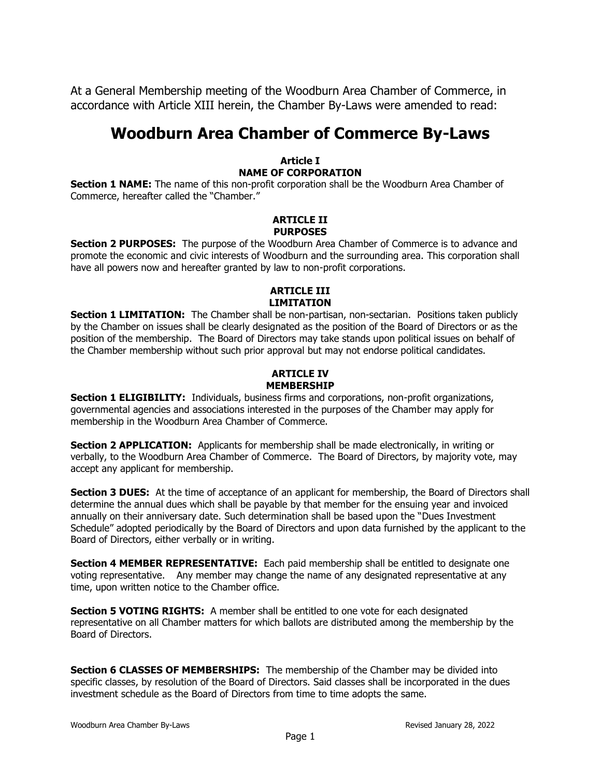At a General Membership meeting of the Woodburn Area Chamber of Commerce, in accordance with Article XIII herein, the Chamber By-Laws were amended to read:

# **Woodburn Area Chamber of Commerce By-Laws**

## **Article I NAME OF CORPORATION**

**Section 1 NAME:** The name of this non-profit corporation shall be the Woodburn Area Chamber of Commerce, hereafter called the "Chamber."

#### **ARTICLE II PURPOSES**

**Section 2 PURPOSES:** The purpose of the Woodburn Area Chamber of Commerce is to advance and promote the economic and civic interests of Woodburn and the surrounding area. This corporation shall have all powers now and hereafter granted by law to non-profit corporations.

# **ARTICLE III LIMITATION**

**Section 1 LIMITATION:** The Chamber shall be non-partisan, non-sectarian. Positions taken publicly by the Chamber on issues shall be clearly designated as the position of the Board of Directors or as the position of the membership. The Board of Directors may take stands upon political issues on behalf of the Chamber membership without such prior approval but may not endorse political candidates.

# **ARTICLE IV MEMBERSHIP**

**Section 1 ELIGIBILITY:** Individuals, business firms and corporations, non-profit organizations, governmental agencies and associations interested in the purposes of the Chamber may apply for membership in the Woodburn Area Chamber of Commerce.

**Section 2 APPLICATION:** Applicants for membership shall be made electronically, in writing or verbally, to the Woodburn Area Chamber of Commerce. The Board of Directors, by majority vote, may accept any applicant for membership.

**Section 3 DUES:** At the time of acceptance of an applicant for membership, the Board of Directors shall determine the annual dues which shall be payable by that member for the ensuing year and invoiced annually on their anniversary date. Such determination shall be based upon the "Dues Investment Schedule" adopted periodically by the Board of Directors and upon data furnished by the applicant to the Board of Directors, either verbally or in writing.

**Section 4 MEMBER REPRESENTATIVE:** Each paid membership shall be entitled to designate one voting representative. Any member may change the name of any designated representative at any time, upon written notice to the Chamber office.

**Section 5 VOTING RIGHTS:** A member shall be entitled to one vote for each designated representative on all Chamber matters for which ballots are distributed among the membership by the Board of Directors.

**Section 6 CLASSES OF MEMBERSHIPS:** The membership of the Chamber may be divided into specific classes, by resolution of the Board of Directors. Said classes shall be incorporated in the dues investment schedule as the Board of Directors from time to time adopts the same.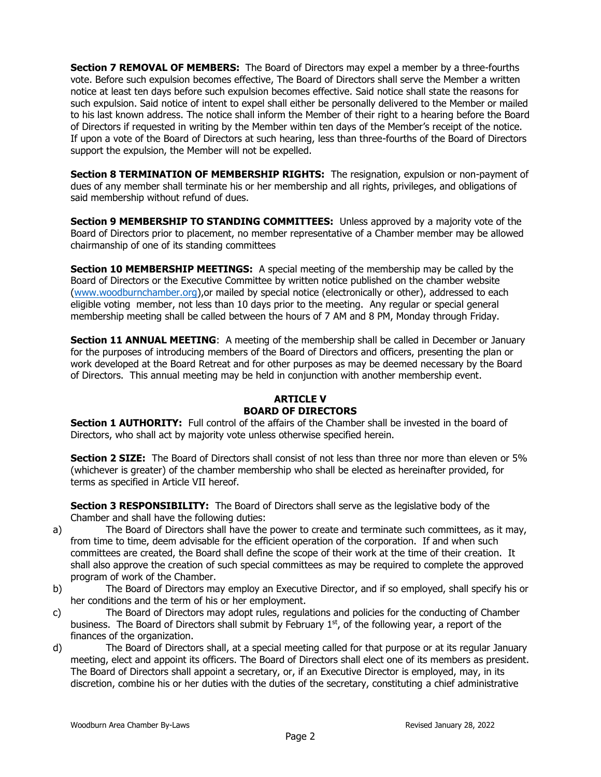**Section 7 REMOVAL OF MEMBERS:** The Board of Directors may expel a member by a three-fourths vote. Before such expulsion becomes effective, The Board of Directors shall serve the Member a written notice at least ten days before such expulsion becomes effective. Said notice shall state the reasons for such expulsion. Said notice of intent to expel shall either be personally delivered to the Member or mailed to his last known address. The notice shall inform the Member of their right to a hearing before the Board of Directors if requested in writing by the Member within ten days of the Member's receipt of the notice. If upon a vote of the Board of Directors at such hearing, less than three-fourths of the Board of Directors support the expulsion, the Member will not be expelled.

**Section 8 TERMINATION OF MEMBERSHIP RIGHTS:** The resignation, expulsion or non-payment of dues of any member shall terminate his or her membership and all rights, privileges, and obligations of said membership without refund of dues.

**Section 9 MEMBERSHIP TO STANDING COMMITTEES:** Unless approved by a majority vote of the Board of Directors prior to placement, no member representative of a Chamber member may be allowed chairmanship of one of its standing committees

**Section 10 MEMBERSHIP MEETINGS:** A special meeting of the membership may be called by the Board of Directors or the Executive Committee by written notice published on the chamber website [\(www.woodburnchamber.org\)](http://www.woodburnchamber.org/),or mailed by special notice (electronically or other), addressed to each eligible voting member, not less than 10 days prior to the meeting. Any regular or special general membership meeting shall be called between the hours of 7 AM and 8 PM, Monday through Friday.

**Section 11 ANNUAL MEETING:** A meeting of the membership shall be called in December or January for the purposes of introducing members of the Board of Directors and officers, presenting the plan or work developed at the Board Retreat and for other purposes as may be deemed necessary by the Board of Directors. This annual meeting may be held in conjunction with another membership event.

# **ARTICLE V BOARD OF DIRECTORS**

**Section 1 AUTHORITY:** Full control of the affairs of the Chamber shall be invested in the board of Directors, who shall act by majority vote unless otherwise specified herein.

**Section 2 SIZE:** The Board of Directors shall consist of not less than three nor more than eleven or 5% (whichever is greater) of the chamber membership who shall be elected as hereinafter provided, for terms as specified in Article VII hereof.

**Section 3 RESPONSIBILITY:** The Board of Directors shall serve as the legislative body of the Chamber and shall have the following duties:

- a) The Board of Directors shall have the power to create and terminate such committees, as it may, from time to time, deem advisable for the efficient operation of the corporation. If and when such committees are created, the Board shall define the scope of their work at the time of their creation. It shall also approve the creation of such special committees as may be required to complete the approved program of work of the Chamber.
- b) The Board of Directors may employ an Executive Director, and if so employed, shall specify his or her conditions and the term of his or her employment.
- c) The Board of Directors may adopt rules, regulations and policies for the conducting of Chamber business. The Board of Directors shall submit by February  $1<sup>st</sup>$ , of the following year, a report of the finances of the organization.
- d) The Board of Directors shall, at a special meeting called for that purpose or at its regular January meeting, elect and appoint its officers. The Board of Directors shall elect one of its members as president. The Board of Directors shall appoint a secretary, or, if an Executive Director is employed, may, in its discretion, combine his or her duties with the duties of the secretary, constituting a chief administrative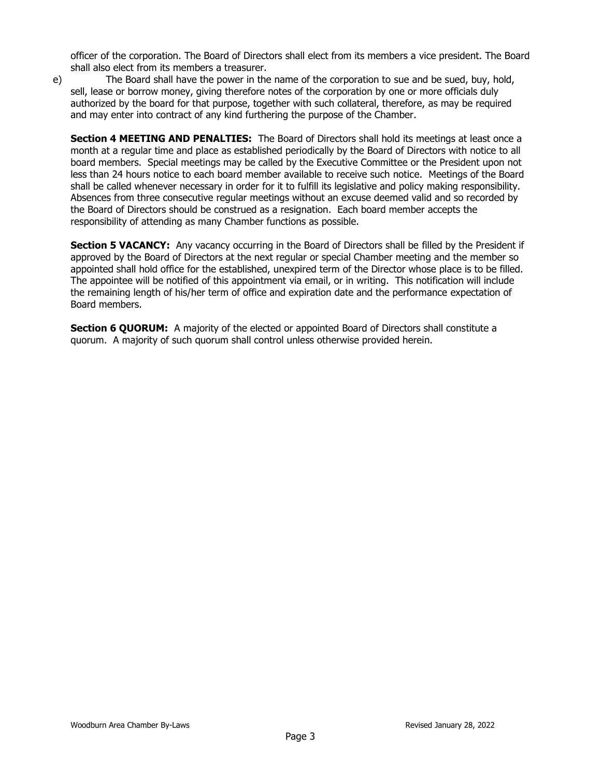officer of the corporation. The Board of Directors shall elect from its members a vice president. The Board shall also elect from its members a treasurer.

e) The Board shall have the power in the name of the corporation to sue and be sued, buy, hold, sell, lease or borrow money, giving therefore notes of the corporation by one or more officials duly authorized by the board for that purpose, together with such collateral, therefore, as may be required and may enter into contract of any kind furthering the purpose of the Chamber.

**Section 4 MEETING AND PENALTIES:** The Board of Directors shall hold its meetings at least once a month at a regular time and place as established periodically by the Board of Directors with notice to all board members. Special meetings may be called by the Executive Committee or the President upon not less than 24 hours notice to each board member available to receive such notice. Meetings of the Board shall be called whenever necessary in order for it to fulfill its legislative and policy making responsibility. Absences from three consecutive regular meetings without an excuse deemed valid and so recorded by the Board of Directors should be construed as a resignation. Each board member accepts the responsibility of attending as many Chamber functions as possible.

**Section 5 VACANCY:** Any vacancy occurring in the Board of Directors shall be filled by the President if approved by the Board of Directors at the next regular or special Chamber meeting and the member so appointed shall hold office for the established, unexpired term of the Director whose place is to be filled. The appointee will be notified of this appointment via email, or in writing. This notification will include the remaining length of his/her term of office and expiration date and the performance expectation of Board members.

**Section 6 QUORUM:** A majority of the elected or appointed Board of Directors shall constitute a quorum. A majority of such quorum shall control unless otherwise provided herein.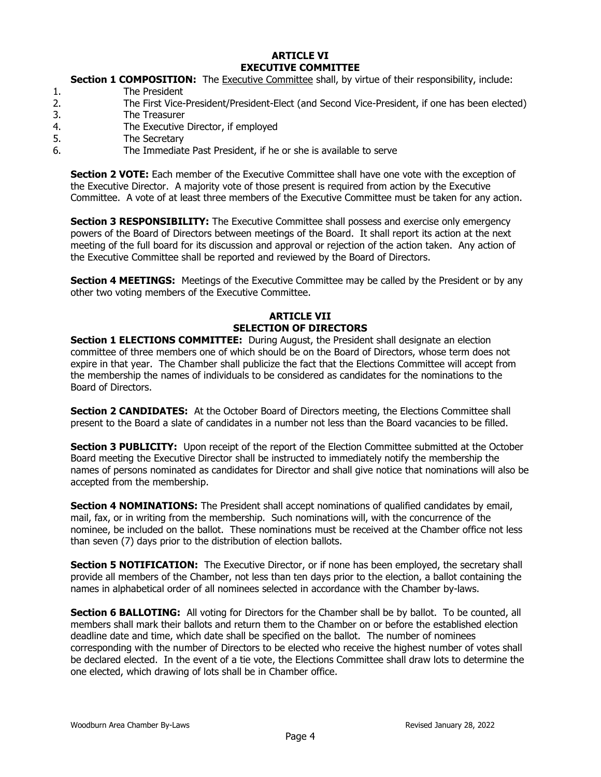#### **ARTICLE VI EXECUTIVE COMMITTEE**

## **Section 1 COMPOSITION:** The Executive Committee shall, by virtue of their responsibility, include:

- 1. The President
- 2. The First Vice-President/President-Elect (and Second Vice-President, if one has been elected)
- 3. The Treasurer
- 4. The Executive Director, if employed
- 5. The Secretary
- 6. The Immediate Past President, if he or she is available to serve

**Section 2 VOTE:** Each member of the Executive Committee shall have one vote with the exception of the Executive Director. A majority vote of those present is required from action by the Executive Committee. A vote of at least three members of the Executive Committee must be taken for any action.

**Section 3 RESPONSIBILITY:** The Executive Committee shall possess and exercise only emergency powers of the Board of Directors between meetings of the Board. It shall report its action at the next meeting of the full board for its discussion and approval or rejection of the action taken. Any action of the Executive Committee shall be reported and reviewed by the Board of Directors.

**Section 4 MEETINGS:** Meetings of the Executive Committee may be called by the President or by any other two voting members of the Executive Committee.

# **ARTICLE VII SELECTION OF DIRECTORS**

**Section 1 ELECTIONS COMMITTEE:** During August, the President shall designate an election committee of three members one of which should be on the Board of Directors, whose term does not expire in that year. The Chamber shall publicize the fact that the Elections Committee will accept from the membership the names of individuals to be considered as candidates for the nominations to the Board of Directors.

**Section 2 CANDIDATES:** At the October Board of Directors meeting, the Elections Committee shall present to the Board a slate of candidates in a number not less than the Board vacancies to be filled.

**Section 3 PUBLICITY:** Upon receipt of the report of the Election Committee submitted at the October Board meeting the Executive Director shall be instructed to immediately notify the membership the names of persons nominated as candidates for Director and shall give notice that nominations will also be accepted from the membership.

**Section 4 NOMINATIONS:** The President shall accept nominations of qualified candidates by email, mail, fax, or in writing from the membership. Such nominations will, with the concurrence of the nominee, be included on the ballot. These nominations must be received at the Chamber office not less than seven (7) days prior to the distribution of election ballots.

**Section 5 NOTIFICATION:** The Executive Director, or if none has been employed, the secretary shall provide all members of the Chamber, not less than ten days prior to the election, a ballot containing the names in alphabetical order of all nominees selected in accordance with the Chamber by-laws.

**Section 6 BALLOTING:** All voting for Directors for the Chamber shall be by ballot. To be counted, all members shall mark their ballots and return them to the Chamber on or before the established election deadline date and time, which date shall be specified on the ballot. The number of nominees corresponding with the number of Directors to be elected who receive the highest number of votes shall be declared elected. In the event of a tie vote, the Elections Committee shall draw lots to determine the one elected, which drawing of lots shall be in Chamber office.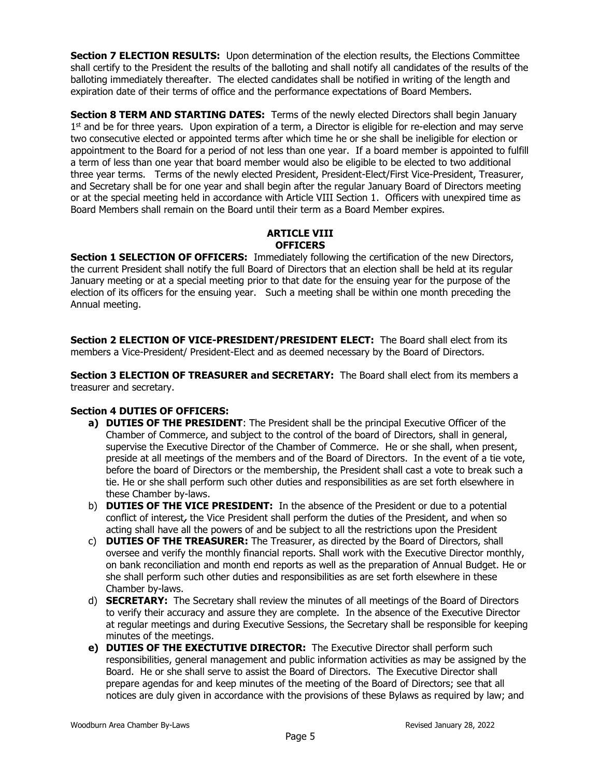**Section 7 ELECTION RESULTS:** Upon determination of the election results, the Elections Committee shall certify to the President the results of the balloting and shall notify all candidates of the results of the balloting immediately thereafter. The elected candidates shall be notified in writing of the length and expiration date of their terms of office and the performance expectations of Board Members.

**Section 8 TERM AND STARTING DATES:** Terms of the newly elected Directors shall begin January 1<sup>st</sup> and be for three years. Upon expiration of a term, a Director is eligible for re-election and may serve two consecutive elected or appointed terms after which time he or she shall be ineligible for election or appointment to the Board for a period of not less than one year. If a board member is appointed to fulfill a term of less than one year that board member would also be eligible to be elected to two additional three year terms. Terms of the newly elected President, President-Elect/First Vice-President, Treasurer, and Secretary shall be for one year and shall begin after the regular January Board of Directors meeting or at the special meeting held in accordance with Article VIII Section 1. Officers with unexpired time as Board Members shall remain on the Board until their term as a Board Member expires.

## **ARTICLE VIII OFFICERS**

**Section 1 SELECTION OF OFFICERS:** Immediately following the certification of the new Directors, the current President shall notify the full Board of Directors that an election shall be held at its regular January meeting or at a special meeting prior to that date for the ensuing year for the purpose of the election of its officers for the ensuing year. Such a meeting shall be within one month preceding the Annual meeting.

**Section 2 ELECTION OF VICE-PRESIDENT/PRESIDENT ELECT:** The Board shall elect from its members a Vice-President/ President-Elect and as deemed necessary by the Board of Directors.

**Section 3 ELECTION OF TREASURER and SECRETARY:** The Board shall elect from its members a treasurer and secretary.

# **Section 4 DUTIES OF OFFICERS:**

- **a) DUTIES OF THE PRESIDENT**: The President shall be the principal Executive Officer of the Chamber of Commerce, and subject to the control of the board of Directors, shall in general, supervise the Executive Director of the Chamber of Commerce. He or she shall, when present, preside at all meetings of the members and of the Board of Directors. In the event of a tie vote, before the board of Directors or the membership, the President shall cast a vote to break such a tie. He or she shall perform such other duties and responsibilities as are set forth elsewhere in these Chamber by-laws.
- b) **DUTIES OF THE VICE PRESIDENT:** In the absence of the President or due to a potential conflict of interest**,** the Vice President shall perform the duties of the President, and when so acting shall have all the powers of and be subject to all the restrictions upon the President
- c) **DUTIES OF THE TREASURER:** The Treasurer, as directed by the Board of Directors, shall oversee and verify the monthly financial reports. Shall work with the Executive Director monthly, on bank reconciliation and month end reports as well as the preparation of Annual Budget. He or she shall perform such other duties and responsibilities as are set forth elsewhere in these Chamber by-laws.
- d) **SECRETARY:** The Secretary shall review the minutes of all meetings of the Board of Directors to verify their accuracy and assure they are complete. In the absence of the Executive Director at regular meetings and during Executive Sessions, the Secretary shall be responsible for keeping minutes of the meetings.
- **e) DUTIES OF THE EXECTUTIVE DIRECTOR:** The Executive Director shall perform such responsibilities, general management and public information activities as may be assigned by the Board. He or she shall serve to assist the Board of Directors. The Executive Director shall prepare agendas for and keep minutes of the meeting of the Board of Directors; see that all notices are duly given in accordance with the provisions of these Bylaws as required by law; and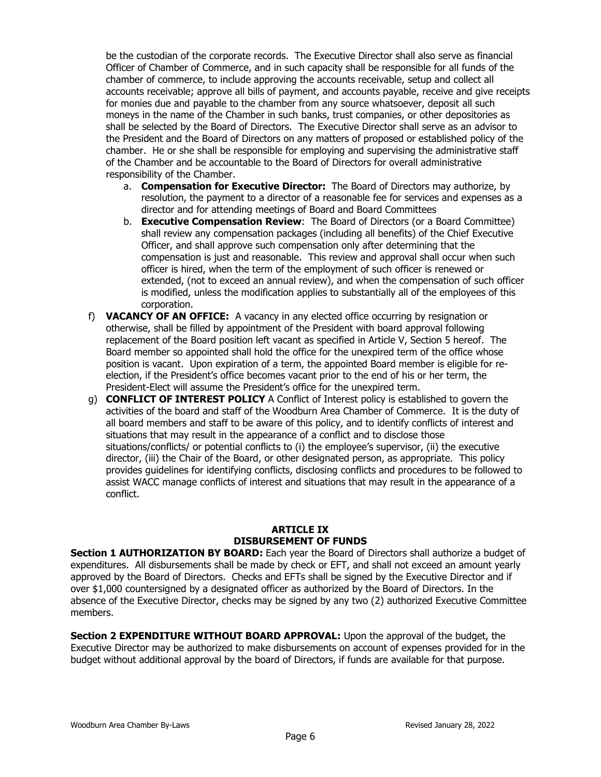be the custodian of the corporate records. The Executive Director shall also serve as financial Officer of Chamber of Commerce, and in such capacity shall be responsible for all funds of the chamber of commerce, to include approving the accounts receivable, setup and collect all accounts receivable; approve all bills of payment, and accounts payable, receive and give receipts for monies due and payable to the chamber from any source whatsoever, deposit all such moneys in the name of the Chamber in such banks, trust companies, or other depositories as shall be selected by the Board of Directors. The Executive Director shall serve as an advisor to the President and the Board of Directors on any matters of proposed or established policy of the chamber. He or she shall be responsible for employing and supervising the administrative staff of the Chamber and be accountable to the Board of Directors for overall administrative responsibility of the Chamber.

- a. **Compensation for Executive Director:** The Board of Directors may authorize, by resolution, the payment to a director of a reasonable fee for services and expenses as a director and for attending meetings of Board and Board Committees
- b. **Executive Compensation Review**: The Board of Directors (or a Board Committee) shall review any compensation packages (including all benefits) of the Chief Executive Officer, and shall approve such compensation only after determining that the compensation is just and reasonable. This review and approval shall occur when such officer is hired, when the term of the employment of such officer is renewed or extended, (not to exceed an annual review), and when the compensation of such officer is modified, unless the modification applies to substantially all of the employees of this corporation.
- f) **VACANCY OF AN OFFICE:** A vacancy in any elected office occurring by resignation or otherwise, shall be filled by appointment of the President with board approval following replacement of the Board position left vacant as specified in Article V, Section 5 hereof. The Board member so appointed shall hold the office for the unexpired term of the office whose position is vacant. Upon expiration of a term, the appointed Board member is eligible for reelection, if the President's office becomes vacant prior to the end of his or her term, the President-Elect will assume the President's office for the unexpired term.
- g) **CONFLICT OF INTEREST POLICY** A Conflict of Interest policy is established to govern the activities of the board and staff of the Woodburn Area Chamber of Commerce. It is the duty of all board members and staff to be aware of this policy, and to identify conflicts of interest and situations that may result in the appearance of a conflict and to disclose those situations/conflicts/ or potential conflicts to (i) the employee's supervisor, (ii) the executive director, (iii) the Chair of the Board, or other designated person, as appropriate. This policy provides guidelines for identifying conflicts, disclosing conflicts and procedures to be followed to assist WACC manage conflicts of interest and situations that may result in the appearance of a conflict.

## **ARTICLE IX DISBURSEMENT OF FUNDS**

**Section 1 AUTHORIZATION BY BOARD:** Each year the Board of Directors shall authorize a budget of expenditures. All disbursements shall be made by check or EFT, and shall not exceed an amount yearly approved by the Board of Directors. Checks and EFTs shall be signed by the Executive Director and if over \$1,000 countersigned by a designated officer as authorized by the Board of Directors. In the absence of the Executive Director, checks may be signed by any two (2) authorized Executive Committee members.

**Section 2 EXPENDITURE WITHOUT BOARD APPROVAL:** Upon the approval of the budget, the Executive Director may be authorized to make disbursements on account of expenses provided for in the budget without additional approval by the board of Directors, if funds are available for that purpose.